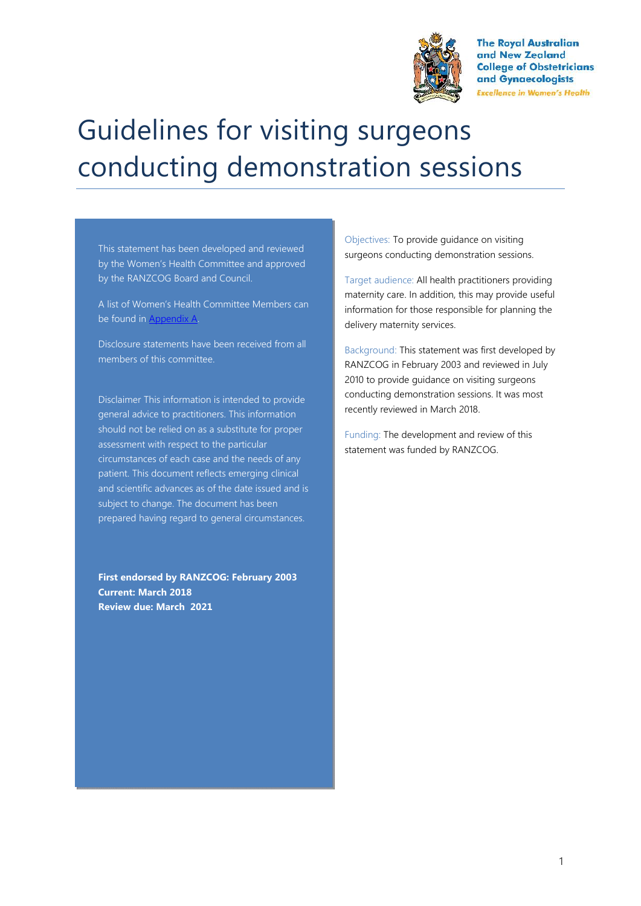

**The Royal Australian** and New Zealand **College of Obstetricians** and Gynaecologists **Excellence in Women's Health** 

# Guidelines for visiting surgeons conducting demonstration sessions

This statement has been developed and reviewed by the Women's Health Committee and approved by the RANZCOG Board and Council.

A list of Women's Health Committee Members can be found in Appendix A.

Disclosure statements have been received from all members of this committee.

Disclaimer This information is intended to provide general advice to practitioners. This information should not be relied on as a substitute for proper assessment with respect to the particular circumstances of each case and the needs of any patient. This document reflects emerging clinical and scientific advances as of the date issued and is subject to change. The document has been prepared having regard to general circumstances.

**First endorsed by RANZCOG: February 2003 Current: March 2018 Review due: March 2021**

Objectives: To provide guidance on visiting surgeons conducting demonstration sessions.

Target audience: All health practitioners providing maternity care. In addition, this may provide useful information for those responsible for planning the delivery maternity services.

Background: This statement was first developed by RANZCOG in February 2003 and reviewed in July 2010 to provide guidance on visiting surgeons conducting demonstration sessions. It was most recently reviewed in March 2018.

Funding: The development and review of this statement was funded by RANZCOG.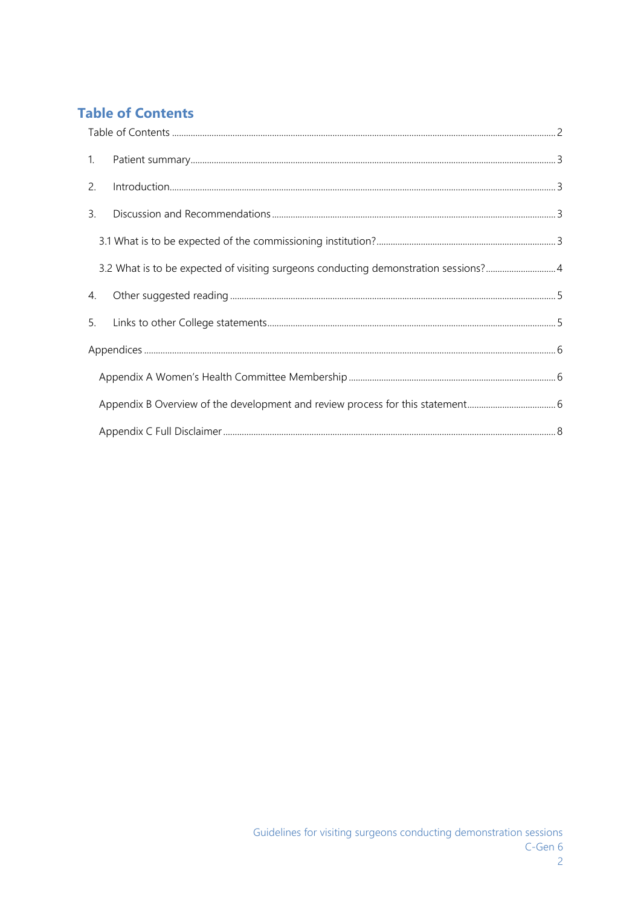# **Table of Contents**

| 1. |                                                                                     |  |
|----|-------------------------------------------------------------------------------------|--|
| 2. |                                                                                     |  |
| 3. |                                                                                     |  |
|    |                                                                                     |  |
|    | 3.2 What is to be expected of visiting surgeons conducting demonstration sessions?4 |  |
| 4. |                                                                                     |  |
| 5. |                                                                                     |  |
|    |                                                                                     |  |
|    |                                                                                     |  |
|    |                                                                                     |  |
|    |                                                                                     |  |
|    |                                                                                     |  |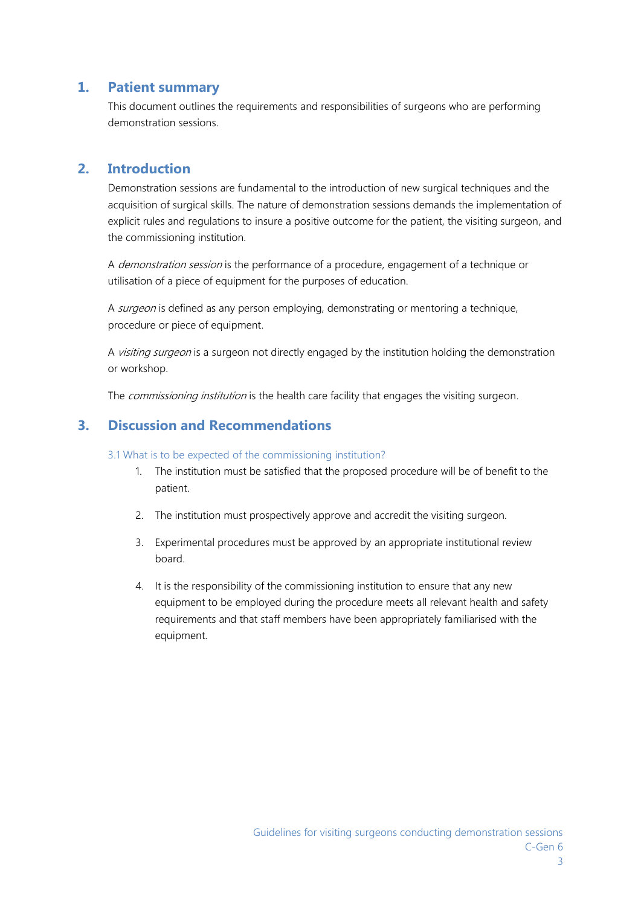## **1. Patient summary**

This document outlines the requirements and responsibilities of surgeons who are performing demonstration sessions.

## **2. Introduction**

Demonstration sessions are fundamental to the introduction of new surgical techniques and the acquisition of surgical skills. The nature of demonstration sessions demands the implementation of explicit rules and regulations to insure a positive outcome for the patient, the visiting surgeon, and the commissioning institution.

A *demonstration session* is the performance of a procedure, engagement of a technique or utilisation of a piece of equipment for the purposes of education.

A *surgeon* is defined as any person employing, demonstrating or mentoring a technique, procedure or piece of equipment.

A *visiting surgeon* is a surgeon not directly engaged by the institution holding the demonstration or workshop.

The *commissioning institution* is the health care facility that engages the visiting surgeon.

## **3. Discussion and Recommendations**

#### 3.1 What is to be expected of the commissioning institution?

- 1. The institution must be satisfied that the proposed procedure will be of benefit to the patient.
- 2. The institution must prospectively approve and accredit the visiting surgeon.
- 3. Experimental procedures must be approved by an appropriate institutional review board.
- 4. It is the responsibility of the commissioning institution to ensure that any new equipment to be employed during the procedure meets all relevant health and safety requirements and that staff members have been appropriately familiarised with the equipment.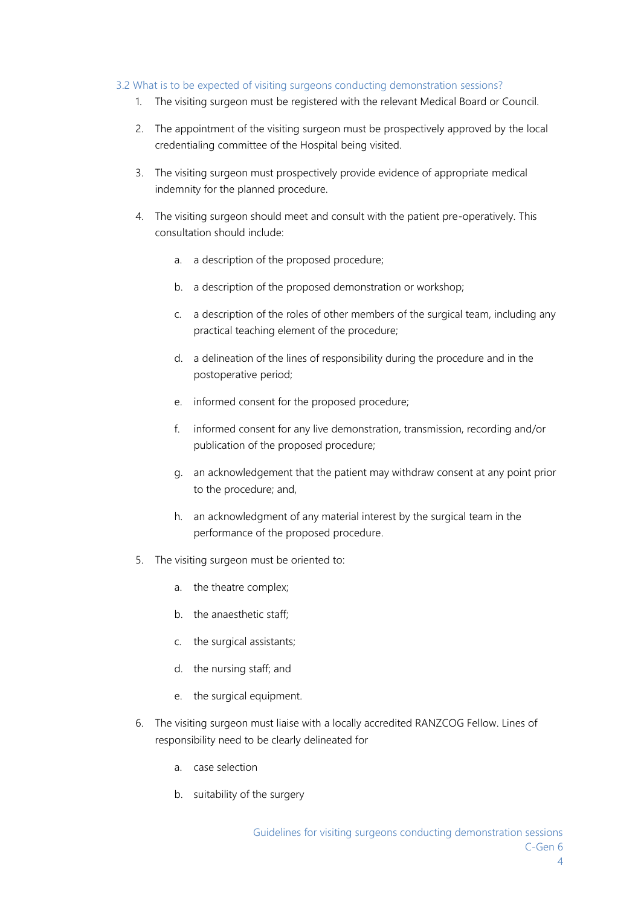#### 3.2 What is to be expected of visiting surgeons conducting demonstration sessions?

- 1. The visiting surgeon must be registered with the relevant Medical Board or Council.
- 2. The appointment of the visiting surgeon must be prospectively approved by the local credentialing committee of the Hospital being visited.
- 3. The visiting surgeon must prospectively provide evidence of appropriate medical indemnity for the planned procedure.
- 4. The visiting surgeon should meet and consult with the patient pre-operatively. This consultation should include:
	- a. a description of the proposed procedure;
	- b. a description of the proposed demonstration or workshop;
	- c. a description of the roles of other members of the surgical team, including any practical teaching element of the procedure;
	- d. a delineation of the lines of responsibility during the procedure and in the postoperative period;
	- e. informed consent for the proposed procedure;
	- f. informed consent for any live demonstration, transmission, recording and/or publication of the proposed procedure;
	- g. an acknowledgement that the patient may withdraw consent at any point prior to the procedure; and,
	- h. an acknowledgment of any material interest by the surgical team in the performance of the proposed procedure.
- 5. The visiting surgeon must be oriented to:
	- a. the theatre complex;
	- b. the anaesthetic staff;
	- c. the surgical assistants;
	- d. the nursing staff; and
	- e. the surgical equipment.
- 6. The visiting surgeon must liaise with a locally accredited RANZCOG Fellow. Lines of responsibility need to be clearly delineated for
	- a. case selection
	- b. suitability of the surgery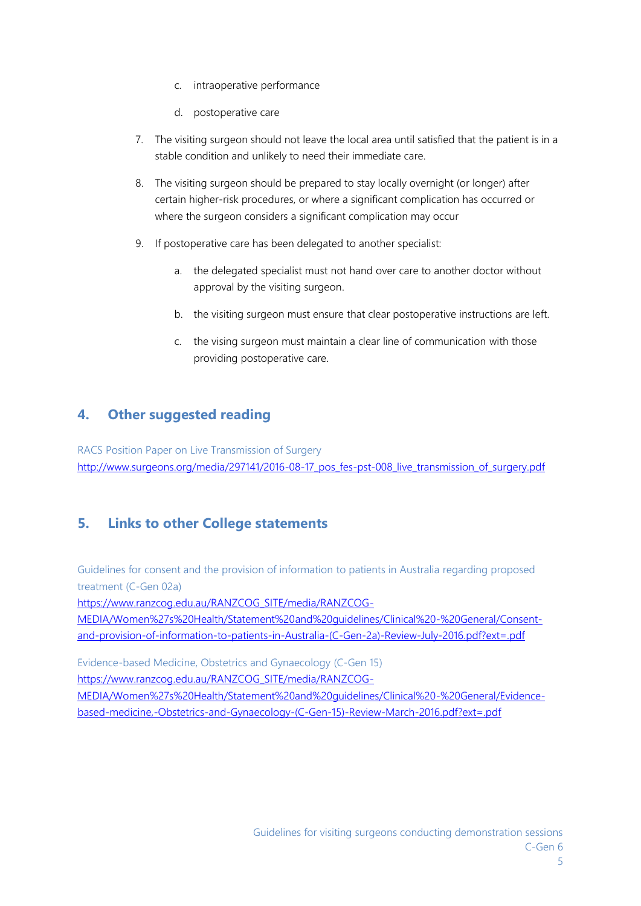- c. intraoperative performance
- d. postoperative care
- 7. The visiting surgeon should not leave the local area until satisfied that the patient is in a stable condition and unlikely to need their immediate care.
- 8. The visiting surgeon should be prepared to stay locally overnight (or longer) after certain higher-risk procedures, or where a significant complication has occurred or where the surgeon considers a significant complication may occur
- 9. If postoperative care has been delegated to another specialist:
	- a. the delegated specialist must not hand over care to another doctor without approval by the visiting surgeon.
	- b. the visiting surgeon must ensure that clear postoperative instructions are left.
	- c. the vising surgeon must maintain a clear line of communication with those providing postoperative care.

## **4. Other suggested reading**

RACS Position Paper on Live Transmission of Surgery http://www.surgeons.org/media/297141/2016-08-17\_pos\_fes-pst-008\_live\_transmission\_of\_surgery.pdf

## **5. Links to other College statements**

Guidelines for consent and the provision of information to patients in Australia regarding proposed treatment (C-Gen 02a)

https://www.ranzcog.edu.au/RANZCOG\_SITE/media/RANZCOG-

MEDIA/Women%27s%20Health/Statement%20and%20guidelines/Clinical%20-%20General/Consent and-provision-of-information-to-patients-in-Australia-(C-Gen-2a)-Review-July-2016.pdf?ext=.pdf

Evidence-based Medicine, Obstetrics and Gynaecology (C-Gen 15)

https://www.ranzcog.edu.au/RANZCOG\_SITE/media/RANZCOG-

MEDIA/Women%27s%20Health/Statement%20and%20guidelines/Clinical%20-%20General/Evidence based-medicine,-Obstetrics-and-Gynaecology-(C-Gen-15)-Review-March-2016.pdf?ext=.pdf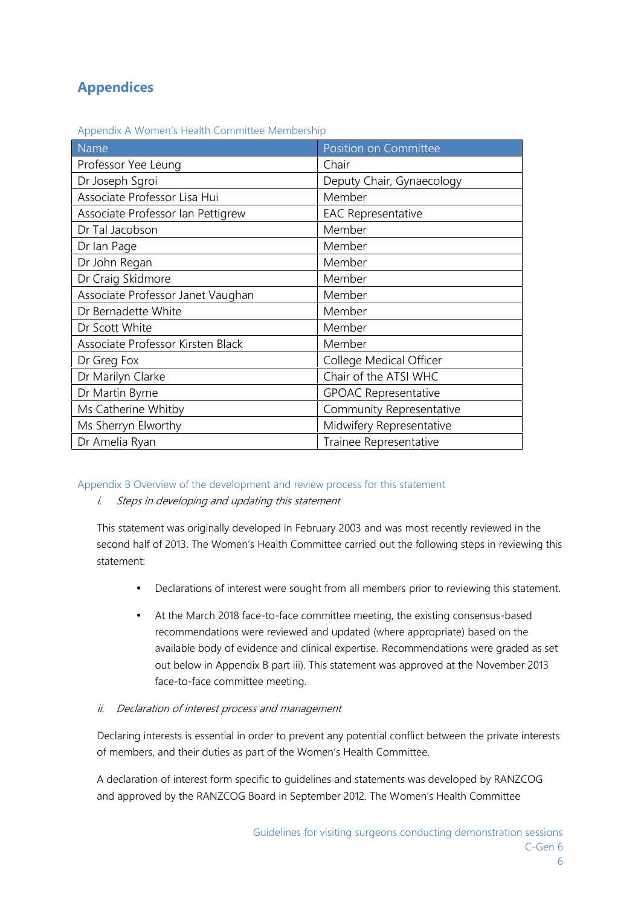# **Appendices**

| Name                              | Position on Committee           |
|-----------------------------------|---------------------------------|
| Professor Yee Leung               | Chair                           |
| Dr Joseph Sgroi                   | Deputy Chair, Gynaecology       |
| Associate Professor Lisa Hui      | Member                          |
| Associate Professor Ian Pettigrew | <b>EAC Representative</b>       |
| Dr Tal Jacobson                   | Member                          |
| Dr Ian Page                       | Member                          |
| Dr John Regan                     | Member                          |
| Dr Craig Skidmore                 | Member                          |
| Associate Professor Janet Vaughan | Member                          |
| Dr Bernadette White               | Member                          |
| Dr Scott White                    | Member                          |
| Associate Professor Kirsten Black | Member                          |
| Dr Greg Fox                       | College Medical Officer         |
| Dr Marilyn Clarke                 | Chair of the ATSI WHC           |
| Dr Martin Byrne                   | <b>GPOAC Representative</b>     |
| Ms Catherine Whitby               | <b>Community Representative</b> |
| Ms Sherryn Elworthy               | Midwifery Representative        |
| Dr Amelia Ryan                    | Trainee Representative          |

Appendix A Women's Health Committee Membership

## Appendix B Overview of the development and review process for this statement

## *i. Steps in developing and updating this statement*

This statement was originally developed in February 2003 and was most recently reviewed in the second half of 2013. The Women's Health Committee carried out the following steps in reviewing this statement:

- Declarations of interest were sought from all members prior to reviewing this statement.
- At the March 2018 face-to-face committee meeting, the existing consensus-based recommendations were reviewed and updated (where appropriate) based on the available body of evidence and clinical expertise. Recommendations were graded as set out below in Appendix B part iii). This statement was approved at the November 2013 face-to-face committee meeting.

## *ii. Declaration of interest process and management*

Declaring interests is essential in order to prevent any potential conflict between the private interests of members, and their duties as part of the Women's Health Committee.

A declaration of interest form specific to guidelines and statements was developed by RANZCOG and approved by the RANZCOG Board in September 2012. The Women's Health Committee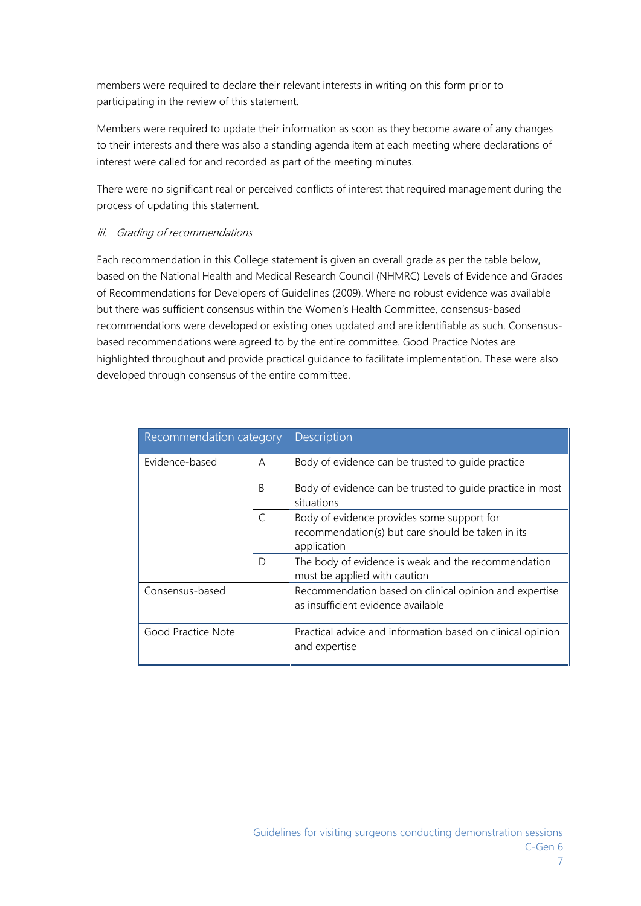members were required to declare their relevant interests in writing on this form prior to participating in the review of this statement.

Members were required to update their information as soon as they become aware of any changes to their interests and there was also a standing agenda item at each meeting where declarations of interest were called for and recorded as part of the meeting minutes.

There were no significant real or perceived conflicts of interest that required management during the process of updating this statement.

## *iii. Grading of recommendations*

Each recommendation in this College statement is given an overall grade as per the table below, based on the National Health and Medical Research Council (NHMRC) Levels of Evidence and Grades of Recommendations for Developers of Guidelines (2009). Where no robust evidence was available but there was sufficient consensus within the Women's Health Committee, consensus-based recommendations were developed or existing ones updated and are identifiable as such. Consensus based recommendations were agreed to by the entire committee. Good Practice Notes are highlighted throughout and provide practical guidance to facilitate implementation. These were also developed through consensus of the entire committee.

| Recommendation category |   | Description                                                                                                    |
|-------------------------|---|----------------------------------------------------------------------------------------------------------------|
| Evidence-based          | A | Body of evidence can be trusted to quide practice                                                              |
|                         | B | Body of evidence can be trusted to quide practice in most<br>situations                                        |
|                         | C | Body of evidence provides some support for<br>recommendation(s) but care should be taken in its<br>application |
|                         | D | The body of evidence is weak and the recommendation<br>must be applied with caution                            |
| Consensus-based         |   | Recommendation based on clinical opinion and expertise<br>as insufficient evidence available                   |
| Good Practice Note      |   | Practical advice and information based on clinical opinion<br>and expertise                                    |